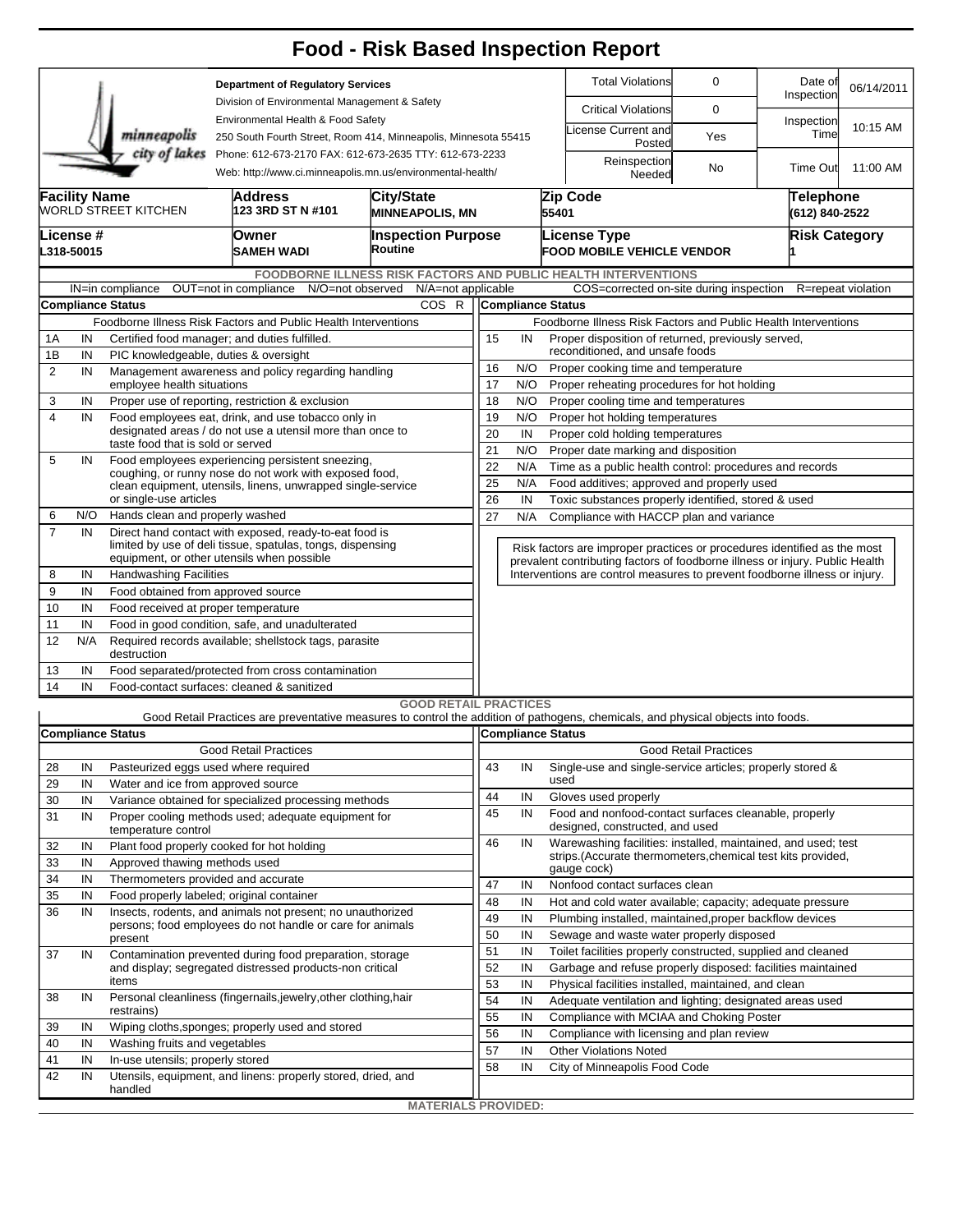|                                                                                                                                        |                                                                                                                             |                                                                                                            |                                                                                                                      |                                      |                                                                 |                                                                |                                                                            | <b>Food - Risk Based Inspection Report</b>                                                                                        |                              |                             |                    |  |  |  |  |  |
|----------------------------------------------------------------------------------------------------------------------------------------|-----------------------------------------------------------------------------------------------------------------------------|------------------------------------------------------------------------------------------------------------|----------------------------------------------------------------------------------------------------------------------|--------------------------------------|-----------------------------------------------------------------|----------------------------------------------------------------|----------------------------------------------------------------------------|-----------------------------------------------------------------------------------------------------------------------------------|------------------------------|-----------------------------|--------------------|--|--|--|--|--|
| <b>Department of Regulatory Services</b>                                                                                               |                                                                                                                             |                                                                                                            |                                                                                                                      |                                      |                                                                 |                                                                |                                                                            | <b>Total Violations</b>                                                                                                           | 0                            | Date of<br>Inspection       | 06/14/2011         |  |  |  |  |  |
| Division of Environmental Management & Safety<br>Environmental Health & Food Safety                                                    |                                                                                                                             |                                                                                                            |                                                                                                                      |                                      |                                                                 |                                                                |                                                                            | <b>Critical Violations</b>                                                                                                        | $\mathbf 0$                  |                             |                    |  |  |  |  |  |
|                                                                                                                                        |                                                                                                                             | minneapolis                                                                                                | 250 South Fourth Street, Room 414, Minneapolis, Minnesota 55415                                                      |                                      |                                                                 |                                                                |                                                                            | icense Current and<br>Posted                                                                                                      | Yes                          | Inspection<br>Time          | 10:15 AM           |  |  |  |  |  |
| city of lakes<br>Phone: 612-673-2170 FAX: 612-673-2635 TTY: 612-673-2233<br>Web: http://www.ci.minneapolis.mn.us/environmental-health/ |                                                                                                                             |                                                                                                            |                                                                                                                      |                                      |                                                                 |                                                                |                                                                            | Reinspection<br>Needed                                                                                                            | No                           | Time Out                    | 11:00 AM           |  |  |  |  |  |
|                                                                                                                                        | <b>Facility Name</b><br>City/State<br>Address<br><b>WORLD STREET KITCHEN</b><br>123 3RD ST N #101<br><b>MINNEAPOLIS, MN</b> |                                                                                                            |                                                                                                                      |                                      |                                                                 |                                                                |                                                                            | Zip Code<br>55401                                                                                                                 |                              | Telephone<br>(612) 840-2522 |                    |  |  |  |  |  |
|                                                                                                                                        |                                                                                                                             |                                                                                                            |                                                                                                                      |                                      |                                                                 |                                                                |                                                                            |                                                                                                                                   |                              | <b>Risk Category</b>        |                    |  |  |  |  |  |
|                                                                                                                                        | License #<br>L318-50015                                                                                                     |                                                                                                            | Owner<br>SAMEH WADI                                                                                                  | <b>Inspection Purpose</b><br>Routine |                                                                 |                                                                |                                                                            | <b>License Type</b><br><b>FOOD MOBILE VEHICLE VENDOR</b>                                                                          |                              |                             |                    |  |  |  |  |  |
|                                                                                                                                        |                                                                                                                             |                                                                                                            |                                                                                                                      |                                      |                                                                 |                                                                |                                                                            | FOODBORNE ILLNESS RISK FACTORS AND PUBLIC HEALTH INTERVENTIONS                                                                    |                              |                             |                    |  |  |  |  |  |
|                                                                                                                                        |                                                                                                                             | IN=in compliance                                                                                           | OUT=not in compliance N/O=not observed                                                                               |                                      | N/A=not applicable                                              |                                                                |                                                                            | COS=corrected on-site during inspection                                                                                           |                              |                             | R=repeat violation |  |  |  |  |  |
|                                                                                                                                        |                                                                                                                             | <b>Compliance Status</b>                                                                                   |                                                                                                                      | COS R                                |                                                                 |                                                                |                                                                            | Compliance Status                                                                                                                 |                              |                             |                    |  |  |  |  |  |
|                                                                                                                                        |                                                                                                                             |                                                                                                            | Foodborne Illness Risk Factors and Public Health Interventions                                                       |                                      |                                                                 | Foodborne Illness Risk Factors and Public Health Interventions |                                                                            |                                                                                                                                   |                              |                             |                    |  |  |  |  |  |
|                                                                                                                                        | Certified food manager; and duties fulfilled.<br>1A<br>IN                                                                   |                                                                                                            |                                                                                                                      |                                      |                                                                 |                                                                |                                                                            | 15<br>Proper disposition of returned, previously served,<br>IN<br>reconditioned, and unsafe foods                                 |                              |                             |                    |  |  |  |  |  |
| 1B                                                                                                                                     | IN                                                                                                                          | PIC knowledgeable, duties & oversight                                                                      |                                                                                                                      |                                      | 16<br>N/O<br>Proper cooking time and temperature                |                                                                |                                                                            |                                                                                                                                   |                              |                             |                    |  |  |  |  |  |
| $\overline{2}$                                                                                                                         | IN                                                                                                                          | employee health situations                                                                                 | Management awareness and policy regarding handling                                                                   | 17                                   |                                                                 | N/O                                                            | Proper reheating procedures for hot holding                                |                                                                                                                                   |                              |                             |                    |  |  |  |  |  |
| 3                                                                                                                                      | IN                                                                                                                          |                                                                                                            | Proper use of reporting, restriction & exclusion                                                                     | 18                                   |                                                                 | N/O                                                            | Proper cooling time and temperatures                                       |                                                                                                                                   |                              |                             |                    |  |  |  |  |  |
| 4                                                                                                                                      | IN                                                                                                                          |                                                                                                            | Food employees eat, drink, and use tobacco only in                                                                   |                                      | 19                                                              |                                                                | N/O                                                                        | Proper hot holding temperatures                                                                                                   |                              |                             |                    |  |  |  |  |  |
|                                                                                                                                        |                                                                                                                             | designated areas / do not use a utensil more than once to                                                  |                                                                                                                      |                                      |                                                                 |                                                                | IN                                                                         | Proper cold holding temperatures                                                                                                  |                              |                             |                    |  |  |  |  |  |
|                                                                                                                                        |                                                                                                                             | taste food that is sold or served                                                                          |                                                                                                                      |                                      | 20<br>21                                                        |                                                                | N/O                                                                        | Proper date marking and disposition                                                                                               |                              |                             |                    |  |  |  |  |  |
| 5                                                                                                                                      | IN                                                                                                                          | Food employees experiencing persistent sneezing,<br>coughing, or runny nose do not work with exposed food, |                                                                                                                      |                                      |                                                                 |                                                                | N/A                                                                        | Time as a public health control: procedures and records                                                                           |                              |                             |                    |  |  |  |  |  |
|                                                                                                                                        |                                                                                                                             |                                                                                                            | clean equipment, utensils, linens, unwrapped single-service                                                          | 22<br>25                             |                                                                 | N/A<br>Food additives; approved and properly used              |                                                                            |                                                                                                                                   |                              |                             |                    |  |  |  |  |  |
|                                                                                                                                        |                                                                                                                             | or single-use articles                                                                                     |                                                                                                                      |                                      | 26<br>IN<br>Toxic substances properly identified, stored & used |                                                                |                                                                            |                                                                                                                                   |                              |                             |                    |  |  |  |  |  |
| 6                                                                                                                                      | N/O                                                                                                                         | Hands clean and properly washed                                                                            |                                                                                                                      |                                      | 27                                                              |                                                                | N/A                                                                        | Compliance with HACCP plan and variance                                                                                           |                              |                             |                    |  |  |  |  |  |
| $\overline{7}$                                                                                                                         | IN                                                                                                                          |                                                                                                            | Direct hand contact with exposed, ready-to-eat food is<br>limited by use of deli tissue, spatulas, tongs, dispensing |                                      |                                                                 |                                                                | Risk factors are improper practices or procedures identified as the most   |                                                                                                                                   |                              |                             |                    |  |  |  |  |  |
|                                                                                                                                        |                                                                                                                             |                                                                                                            | equipment, or other utensils when possible                                                                           |                                      |                                                                 |                                                                |                                                                            | prevalent contributing factors of foodborne illness or injury. Public Health                                                      |                              |                             |                    |  |  |  |  |  |
| 8                                                                                                                                      | IN                                                                                                                          | <b>Handwashing Facilities</b>                                                                              |                                                                                                                      |                                      |                                                                 |                                                                | Interventions are control measures to prevent foodborne illness or injury. |                                                                                                                                   |                              |                             |                    |  |  |  |  |  |
| 9                                                                                                                                      | IN                                                                                                                          | Food obtained from approved source                                                                         |                                                                                                                      |                                      |                                                                 |                                                                |                                                                            |                                                                                                                                   |                              |                             |                    |  |  |  |  |  |
|                                                                                                                                        | 10<br>IN<br>Food received at proper temperature                                                                             |                                                                                                            |                                                                                                                      |                                      |                                                                 |                                                                |                                                                            |                                                                                                                                   |                              |                             |                    |  |  |  |  |  |
| Food in good condition, safe, and unadulterated<br>11<br>IN                                                                            |                                                                                                                             |                                                                                                            |                                                                                                                      |                                      |                                                                 |                                                                |                                                                            |                                                                                                                                   |                              |                             |                    |  |  |  |  |  |
|                                                                                                                                        | 12<br>N/A<br>Required records available; shellstock tags, parasite<br>destruction                                           |                                                                                                            |                                                                                                                      |                                      |                                                                 |                                                                |                                                                            |                                                                                                                                   |                              |                             |                    |  |  |  |  |  |
| 14                                                                                                                                     | IN<br>Food separated/protected from cross contamination<br>13<br>IN<br>Food-contact surfaces: cleaned & sanitized           |                                                                                                            |                                                                                                                      |                                      |                                                                 |                                                                |                                                                            |                                                                                                                                   |                              |                             |                    |  |  |  |  |  |
|                                                                                                                                        |                                                                                                                             |                                                                                                            |                                                                                                                      | <b>GOOD RETAIL PRACTICES</b>         |                                                                 |                                                                |                                                                            |                                                                                                                                   |                              |                             |                    |  |  |  |  |  |
|                                                                                                                                        |                                                                                                                             |                                                                                                            |                                                                                                                      |                                      |                                                                 |                                                                |                                                                            | Good Retail Practices are preventative measures to control the addition of pathogens, chemicals, and physical objects into foods. |                              |                             |                    |  |  |  |  |  |
|                                                                                                                                        |                                                                                                                             |                                                                                                            |                                                                                                                      |                                      |                                                                 |                                                                |                                                                            | Compliance Status                                                                                                                 |                              |                             |                    |  |  |  |  |  |
| <b>Compliance Status</b><br><b>Good Retail Practices</b>                                                                               |                                                                                                                             |                                                                                                            |                                                                                                                      |                                      |                                                                 |                                                                |                                                                            |                                                                                                                                   | <b>Good Retail Practices</b> |                             |                    |  |  |  |  |  |
| 28                                                                                                                                     | IN                                                                                                                          | Pasteurized eggs used where required                                                                       |                                                                                                                      |                                      | 43                                                              |                                                                | IN                                                                         | Single-use and single-service articles; properly stored &                                                                         |                              |                             |                    |  |  |  |  |  |
| 29                                                                                                                                     | IN                                                                                                                          | Water and ice from approved source                                                                         |                                                                                                                      |                                      |                                                                 |                                                                |                                                                            | used                                                                                                                              |                              |                             |                    |  |  |  |  |  |
| 30                                                                                                                                     | IN                                                                                                                          |                                                                                                            | Variance obtained for specialized processing methods                                                                 |                                      | 44<br>45                                                        |                                                                | IN                                                                         | Gloves used properly                                                                                                              |                              |                             |                    |  |  |  |  |  |
| 31                                                                                                                                     | IN                                                                                                                          | Proper cooling methods used; adequate equipment for<br>temperature control                                 |                                                                                                                      |                                      |                                                                 |                                                                | IN                                                                         | Food and nonfood-contact surfaces cleanable, properly<br>designed, constructed, and used                                          |                              |                             |                    |  |  |  |  |  |
| 32                                                                                                                                     | IN                                                                                                                          |                                                                                                            | Plant food properly cooked for hot holding                                                                           |                                      | 46                                                              |                                                                | IN                                                                         | Warewashing facilities: installed, maintained, and used; test                                                                     |                              |                             |                    |  |  |  |  |  |
| 33                                                                                                                                     | IN                                                                                                                          | Approved thawing methods used                                                                              |                                                                                                                      |                                      |                                                                 |                                                                |                                                                            | strips. (Accurate thermometers, chemical test kits provided,<br>gauge cock)                                                       |                              |                             |                    |  |  |  |  |  |
| 34                                                                                                                                     | IN                                                                                                                          | Thermometers provided and accurate                                                                         |                                                                                                                      | 47                                   |                                                                 | IN                                                             | Nonfood contact surfaces clean                                             |                                                                                                                                   |                              |                             |                    |  |  |  |  |  |
| 35                                                                                                                                     | IN                                                                                                                          | Food properly labeled; original container                                                                  |                                                                                                                      |                                      |                                                                 |                                                                | IN                                                                         | Hot and cold water available; capacity; adequate pressure                                                                         |                              |                             |                    |  |  |  |  |  |
| 36                                                                                                                                     | IN                                                                                                                          |                                                                                                            | Insects, rodents, and animals not present; no unauthorized                                                           |                                      | 48<br>49                                                        |                                                                | IN                                                                         | Plumbing installed, maintained, proper backflow devices                                                                           |                              |                             |                    |  |  |  |  |  |
|                                                                                                                                        |                                                                                                                             |                                                                                                            | persons; food employees do not handle or care for animals                                                            |                                      | 50                                                              |                                                                | IN                                                                         | Sewage and waste water properly disposed                                                                                          |                              |                             |                    |  |  |  |  |  |
| 37                                                                                                                                     | IN                                                                                                                          | present                                                                                                    | Contamination prevented during food preparation, storage                                                             |                                      | 51                                                              |                                                                | IN                                                                         | Toilet facilities properly constructed, supplied and cleaned                                                                      |                              |                             |                    |  |  |  |  |  |
|                                                                                                                                        |                                                                                                                             |                                                                                                            | and display; segregated distressed products-non critical                                                             |                                      | 52                                                              |                                                                | IN                                                                         | Garbage and refuse properly disposed: facilities maintained                                                                       |                              |                             |                    |  |  |  |  |  |
|                                                                                                                                        |                                                                                                                             | items                                                                                                      |                                                                                                                      | 53                                   |                                                                 | IN                                                             | Physical facilities installed, maintained, and clean                       |                                                                                                                                   |                              |                             |                    |  |  |  |  |  |
| 38                                                                                                                                     | IN                                                                                                                          |                                                                                                            | Personal cleanliness (fingernails, jewelry, other clothing, hair                                                     |                                      |                                                                 |                                                                | IN                                                                         | Adequate ventilation and lighting; designated areas used                                                                          |                              |                             |                    |  |  |  |  |  |
|                                                                                                                                        |                                                                                                                             | restrains)                                                                                                 |                                                                                                                      |                                      |                                                                 | 54<br>55                                                       | IN                                                                         | Compliance with MCIAA and Choking Poster                                                                                          |                              |                             |                    |  |  |  |  |  |
| 39                                                                                                                                     | IN                                                                                                                          |                                                                                                            | Wiping cloths, sponges; properly used and stored                                                                     |                                      | 56                                                              |                                                                | IN                                                                         | Compliance with licensing and plan review                                                                                         |                              |                             |                    |  |  |  |  |  |
| 40                                                                                                                                     | IN                                                                                                                          | Washing fruits and vegetables                                                                              |                                                                                                                      |                                      | 57                                                              |                                                                | IN                                                                         | <b>Other Violations Noted</b>                                                                                                     |                              |                             |                    |  |  |  |  |  |
| 41                                                                                                                                     | IN                                                                                                                          | In-use utensils; properly stored                                                                           |                                                                                                                      |                                      | 58                                                              |                                                                | IN                                                                         | City of Minneapolis Food Code                                                                                                     |                              |                             |                    |  |  |  |  |  |
| 42                                                                                                                                     | IN                                                                                                                          | handled                                                                                                    | Utensils, equipment, and linens: properly stored, dried, and                                                         |                                      |                                                                 |                                                                |                                                                            |                                                                                                                                   |                              |                             |                    |  |  |  |  |  |
|                                                                                                                                        |                                                                                                                             |                                                                                                            |                                                                                                                      |                                      |                                                                 |                                                                |                                                                            |                                                                                                                                   |                              |                             |                    |  |  |  |  |  |